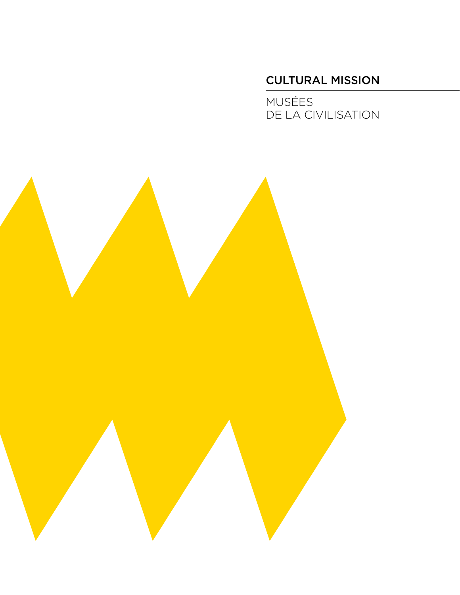# CULTURAL MISSION

MUSÉES DE LA CIVILISATION

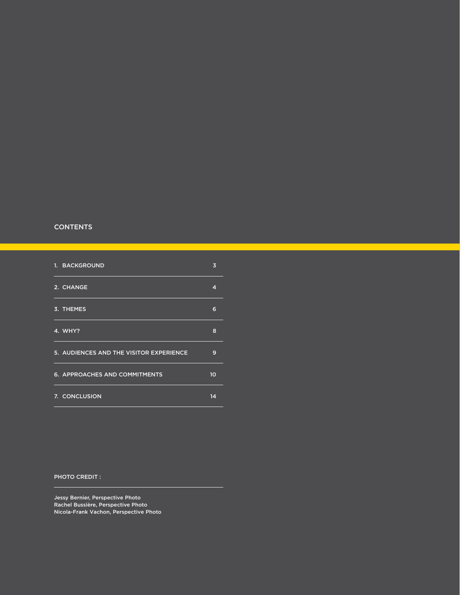#### **CONTENTS**

| 1. BACKGROUND                           | 3               |
|-----------------------------------------|-----------------|
| 2. CHANGE                               | 4               |
| 3. THEMES                               | 6               |
| 4. WHY?                                 | 8               |
| 5. AUDIENCES AND THE VISITOR EXPERIENCE | 9               |
| 6. APPROACHES AND COMMITMENTS           | 10 <sup>1</sup> |
| 7. CONCLUSION                           | 14              |

#### PHOTO CREDIT :

Jessy Bernier, Perspective Photo Rachel Bussière, Perspective Photo Nicola-Frank Vachon, Perspective Photo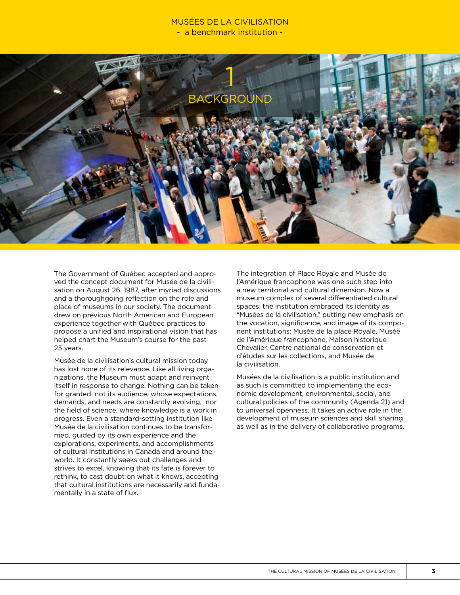# MUSÉES DE LA CIVILISATION - a benchmark institution -



The Government of Québec accepted and approved the concept document for Musée de la civilisation on August 26, 1987, after myriad discussions and a thoroughgoing reflection on the role and place of museums in our society. The document drew on previous North American and European experience together with Québec practices to propose a unified and inspirational vision that has helped chart the Museum's course for the past 25 years.

Musée de la civilisation's cultural mission today has lost none of its relevance. Like all living organizations, the Museum must adapt and reinvent itself in response to change. Nothing can be taken for granted: not its audience, whose expectations, demands, and needs are constantly evolving, nor the field of science, where knowledge is a work in progress. Even a standard-setting institution like Musée de la civilisation continues to be transformed, guided by its own experience and the explorations, experiments, and accomplishments of cultural institutions in Canada and around the world. It constantly seeks out challenges and strives to excel, knowing that its fate is forever to rethink, to cast doubt on what it knows, accepting that cultural institutions are necessarily and fundamentally in a state of flux.

The integration of Place Royale and Musée de l'Amérique francophone was one such step into a new territorial and cultural dimension. Now a museum complex of several differentiated cultural spaces, the institution embraced its identity as "Musées de la civilisation," putting new emphasis on the vocation, significance, and image of its component institutions: Musée de la place Royale, Musée de l'Amérique francophone, Maison historique Chevalier, Centre national de conservation et d'études sur les collections, and Musée de la civilisation.

Musées de la civilisation is a public institution and as such is committed to implementing the economic development, environmental, social, and cultural policies of the community (Agenda 21) and to universal openness. It takes an active role in the development of museum sciences and skill sharing as well as in the delivery of collaborative programs.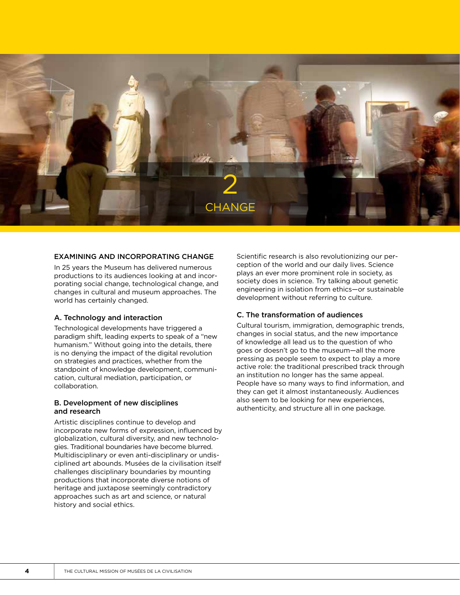

#### EXAMINING AND INCORPORATING CHANGE

In 25 years the Museum has delivered numerous productions to its audiences looking at and incorporating social change, technological change, and changes in cultural and museum approaches. The world has certainly changed.

#### A. Technology and interaction

Technological developments have triggered a paradigm shift, leading experts to speak of a "new humanism." Without going into the details, there is no denying the impact of the digital revolution on strategies and practices, whether from the standpoint of knowledge development, communication, cultural mediation, participation, or collaboration.

#### B. Development of new disciplines and research

Artistic disciplines continue to develop and incorporate new forms of expression, influenced by globalization, cultural diversity, and new technologies. Traditional boundaries have become blurred. Multidisciplinary or even anti-disciplinary or undisciplined art abounds. Musées de la civilisation itself challenges disciplinary boundaries by mounting productions that incorporate diverse notions of heritage and juxtapose seemingly contradictory approaches such as art and science, or natural history and social ethics.

Scientific research is also revolutionizing our perception of the world and our daily lives. Science plays an ever more prominent role in society, as society does in science. Try talking about genetic engineering in isolation from ethics—or sustainable development without referring to culture.

#### C. The transformation of audiences

Cultural tourism, immigration, demographic trends, changes in social status, and the new importance of knowledge all lead us to the question of who goes or doesn't go to the museum—all the more pressing as people seem to expect to play a more active role: the traditional prescribed track through an institution no longer has the same appeal. People have so many ways to find information, and they can get it almost instantaneously. Audiences also seem to be looking for new experiences, authenticity, and structure all in one package.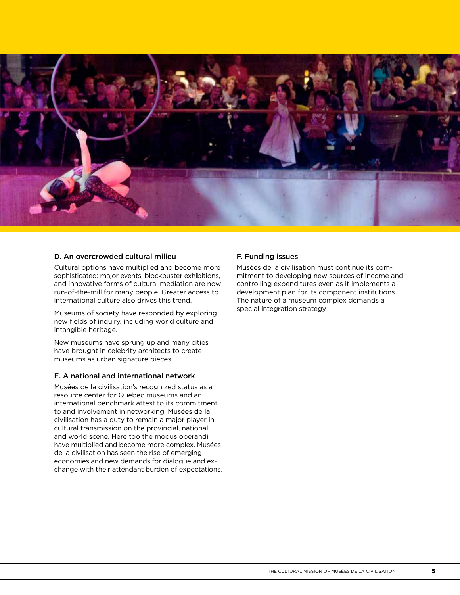

# D. An overcrowded cultural milieu

Cultural options have multiplied and become more sophisticated: major events, blockbuster exhibitions, and innovative forms of cultural mediation are now run-of-the-mill for many people. Greater access to international culture also drives this trend.

Museums of society have responded by exploring new fields of inquiry, including world culture and intangible heritage.

New museums have sprung up and many cities have brought in celebrity architects to create museums as urban signature pieces.

#### E. A national and international network

Musées de la civilisation's recognized status as a resource center for Quebec museums and an international benchmark attest to its commitment to and involvement in networking. Musées de la civilisation has a duty to remain a major player in cultural transmission on the provincial, national, and world scene. Here too the modus operandi have multiplied and become more complex. Musées de la civilisation has seen the rise of emerging economies and new demands for dialogue and exchange with their attendant burden of expectations.

### F. Funding issues

Musées de la civilisation must continue its commitment to developing new sources of income and controlling expenditures even as it implements a development plan for its component institutions. The nature of a museum complex demands a special integration strategy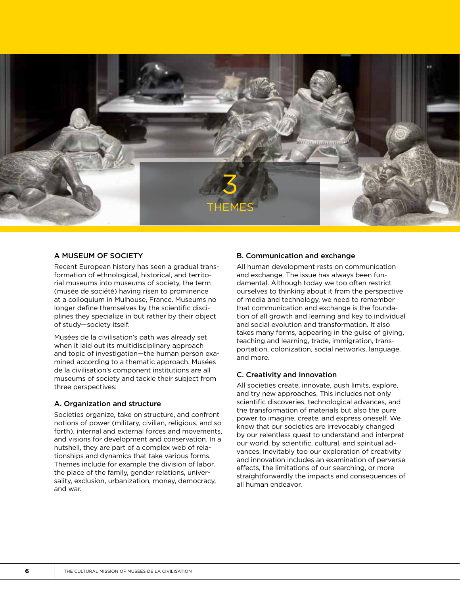

#### A MUSEUM OF SOCIETY

Recent European history has seen a gradual transformation of ethnological, historical, and territorial museums into museums of society, the term (musée de société) having risen to prominence at a colloquium in Mulhouse, France. Museums no longer define themselves by the scientific disciplines they specialize in but rather by their object of study—society itself.

Musées de la civilisation's path was already set when it laid out its multidisciplinary approach and topic of investigation—the human person examined according to a thematic approach. Musées de la civilisation's component institutions are all museums of society and tackle their subject from three perspectives:

#### A. Organization and structure

Societies organize, take on structure, and confront notions of power (military, civilian, religious, and so forth), internal and external forces and movements, and visions for development and conservation. In a nutshell, they are part of a complex web of relationships and dynamics that take various forms. Themes include for example the division of labor, the place of the family, gender relations, universality, exclusion, urbanization, money, democracy, and war.

### B. Communication and exchange

All human development rests on communication and exchange. The issue has always been fundamental. Although today we too often restrict ourselves to thinking about it from the perspective of media and technology, we need to remember that communication and exchange is the foundation of all growth and learning and key to individual and social evolution and transformation. It also takes many forms, appearing in the guise of giving, teaching and learning, trade, immigration, transportation, colonization, social networks, language, and more.

#### C. Creativity and innovation

All societies create, innovate, push limits, explore, and try new approaches. This includes not only scientific discoveries, technological advances, and the transformation of materials but also the pure power to imagine, create, and express oneself. We know that our societies are irrevocably changed by our relentless quest to understand and interpret our world, by scientific, cultural, and spiritual advances. Inevitably too our exploration of creativity and innovation includes an examination of perverse effects, the limitations of our searching, or more straightforwardly the impacts and consequences of all human endeavor.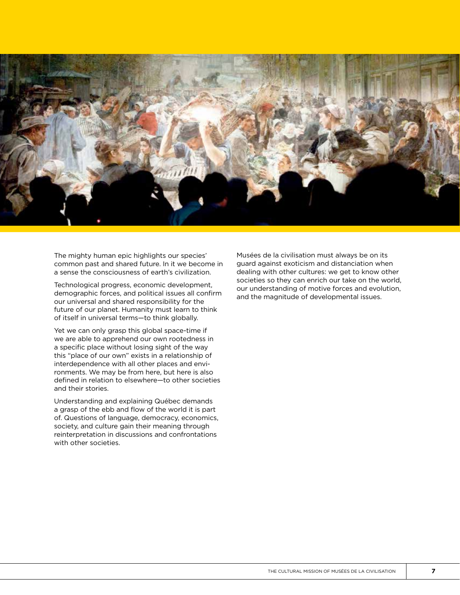

The mighty human epic highlights our species' common past and shared future. In it we become in a sense the consciousness of earth's civilization.

Technological progress, economic development, demographic forces, and political issues all confirm our universal and shared responsibility for the future of our planet. Humanity must learn to think of itself in universal terms—to think globally.

Yet we can only grasp this global space-time if we are able to apprehend our own rootedness in a specific place without losing sight of the way this "place of our own" exists in a relationship of interdependence with all other places and environments. We may be from here, but here is also defined in relation to elsewhere—to other societies and their stories.

Understanding and explaining Québec demands a grasp of the ebb and flow of the world it is part of. Questions of language, democracy, economics, society, and culture gain their meaning through reinterpretation in discussions and confrontations with other societies.

Musées de la civilisation must always be on its guard against exoticism and distanciation when dealing with other cultures: we get to know other societies so they can enrich our take on the world, our understanding of motive forces and evolution, and the magnitude of developmental issues.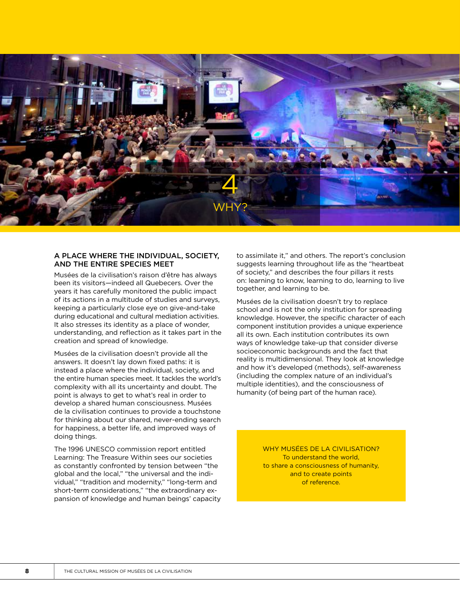

#### A PLACE WHERE THE INDIVIDUAL, SOCIETY, AND THE ENTIRE SPECIES MEET

Musées de la civilisation's raison d'être has always been its visitors—indeed all Quebecers. Over the years it has carefully monitored the public impact of its actions in a multitude of studies and surveys, keeping a particularly close eye on give-and-take during educational and cultural mediation activities. It also stresses its identity as a place of wonder, understanding, and reflection as it takes part in the creation and spread of knowledge.

Musées de la civilisation doesn't provide all the answers. It doesn't lay down fixed paths: it is instead a place where the individual, society, and the entire human species meet. It tackles the world's complexity with all its uncertainty and doubt. The point is always to get to what's real in order to develop a shared human consciousness. Musées de la civilisation continues to provide a touchstone for thinking about our shared, never-ending search for happiness, a better life, and improved ways of doing things.

The 1996 UNESCO commission report entitled Learning: The Treasure Within sees our societies as constantly confronted by tension between "the global and the local," "the universal and the individual," "tradition and modernity," "long-term and short-term considerations," "the extraordinary expansion of knowledge and human beings' capacity to assimilate it," and others. The report's conclusion suggests learning throughout life as the "heartbeat of society," and describes the four pillars it rests on: learning to know, learning to do, learning to live together, and learning to be.

Musées de la civilisation doesn't try to replace school and is not the only institution for spreading knowledge. However, the specific character of each component institution provides a unique experience all its own. Each institution contributes its own ways of knowledge take-up that consider diverse socioeconomic backgrounds and the fact that reality is multidimensional. They look at knowledge and how it's developed (methods), self-awareness (including the complex nature of an individual's multiple identities), and the consciousness of humanity (of being part of the human race).

> WHY MUSÉES DE LA CIVILISATION? To understand the world, to share a consciousness of humanity, and to create points of reference.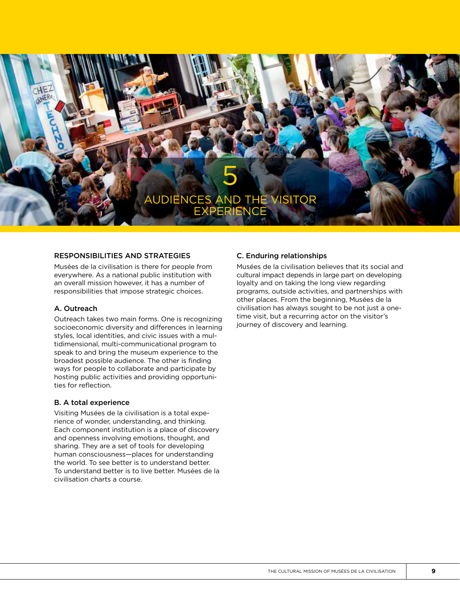

#### RESPONSIBILITIES AND STRATEGIES

Musées de la civilisation is there for people from everywhere. As a national public institution with an overall mission however, it has a number of responsibilities that impose strategic choices.

### A. Outreach

Outreach takes two main forms. One is recognizing socioeconomic diversity and differences in learning styles, local identities, and civic issues with a multidimensional, multi-communicational program to speak to and bring the museum experience to the broadest possible audience. The other is finding ways for people to collaborate and participate by hosting public activities and providing opportunities for reflection.

### B. A total experience

Visiting Musées de la civilisation is a total experience of wonder, understanding, and thinking. Each component institution is a place of discovery and openness involving emotions, thought, and sharing. They are a set of tools for developing human consciousness—places for understanding the world. To see better is to understand better. To understand better is to live better. Musées de la civilisation charts a course.

### C. Enduring relationships

Musées de la civilisation believes that its social and cultural impact depends in large part on developing loyalty and on taking the long view regarding programs, outside activities, and partnerships with other places. From the beginning, Musées de la civilisation has always sought to be not just a onetime visit, but a recurring actor on the visitor's journey of discovery and learning.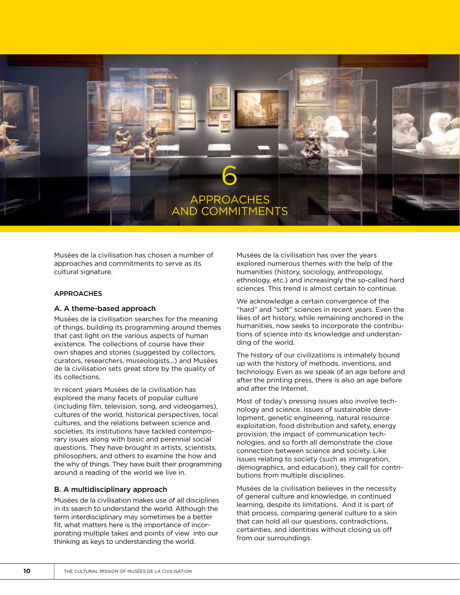

Musées de la civilisation has chosen a number of approaches and commitments to serve as its cultural signature.

#### APPROACHES

#### A. A theme-based approach

Musées de la civilisation searches for the meaning of things, building its programming around themes that cast light on the various aspects of human existence. The collections of course have their own shapes and stories (suggested by collectors, curators, researchers, museologists…) and Musées de la civilisation sets great store by the quality of its collections.

In recent years Musées de la civilisation has explored the many facets of popular culture (including film, television, song, and videogames), cultures of the world, historical perspectives, local cultures, and the relations between science and societies. Its institutions have tackled contemporary issues along with basic and perennial social questions. They have brought in artists, scientists, philosophers, and others to examine the how and the why of things. They have built their programming around a reading of the world we live in.

#### B. A multidisciplinary approach

Musées de la civilisation makes use of all disciplines in its search to understand the world. Although the term interdisciplinary may sometimes be a better fit, what matters here is the importance of incorporating multiple takes and points of view into our thinking as keys to understanding the world.

Musées de la civilisation has over the years explored numerous themes with the help of the humanities (history, sociology, anthropology, ethnology, etc.) and increasingly the so-called hard sciences. This trend is almost certain to continue.

We acknowledge a certain convergence of the "hard" and "soft" sciences in recent years. Even the likes of art history, while remaining anchored in the humanities, now seeks to incorporate the contributions of science into its knowledge and understanding of the world.

The history of our civilizations is intimately bound up with the history of methods, inventions, and technology. Even as we speak of an age before and after the printing press, there is also an age before and after the Internet.

Most of today's pressing issues also involve technology and science. Issues of sustainable development, genetic engineering, natural resource exploitation, food distribution and safety, energy provision, the impact of communication technologies, and so forth all demonstrate the close connection between science and society. Like issues relating to society (such as immigration, demographics, and education), they call for contributions from multiple disciplines.

Musées de la civilisation believes in the necessity of general culture and knowledge, in continued learning, despite its limitations. And it is part of that process, comparing general culture to a skin that can hold all our questions, contradictions, certainties, and identities without closing us off from our surroundings.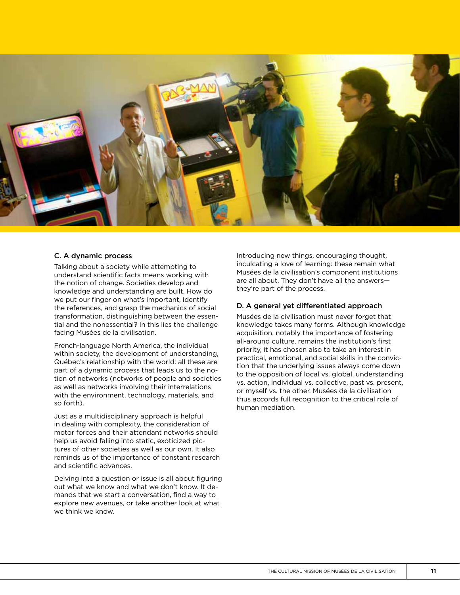

# C. A dynamic process

Talking about a society while attempting to understand scientific facts means working with the notion of change. Societies develop and knowledge and understanding are built. How do we put our finger on what's important, identify the references, and grasp the mechanics of social transformation, distinguishing between the essential and the nonessential? In this lies the challenge facing Musées de la civilisation.

French-language North America, the individual within society, the development of understanding, Québec's relationship with the world: all these are part of a dynamic process that leads us to the notion of networks (networks of people and societies as well as networks involving their interrelations with the environment, technology, materials, and so forth).

Just as a multidisciplinary approach is helpful in dealing with complexity, the consideration of motor forces and their attendant networks should help us avoid falling into static, exoticized pictures of other societies as well as our own. It also reminds us of the importance of constant research and scientific advances.

Delving into a question or issue is all about figuring out what we know and what we don't know. It demands that we start a conversation, find a way to explore new avenues, or take another look at what we think we know.

Introducing new things, encouraging thought, inculcating a love of learning: these remain what Musées de la civilisation's component institutions are all about. They don't have all the answers they're part of the process.

### D. A general yet differentiated approach

Musées de la civilisation must never forget that knowledge takes many forms. Although knowledge acquisition, notably the importance of fostering all-around culture, remains the institution's first priority, it has chosen also to take an interest in practical, emotional, and social skills in the conviction that the underlying issues always come down to the opposition of local vs. global, understanding vs. action, individual vs. collective, past vs. present, or myself vs. the other. Musées de la civilisation thus accords full recognition to the critical role of human mediation.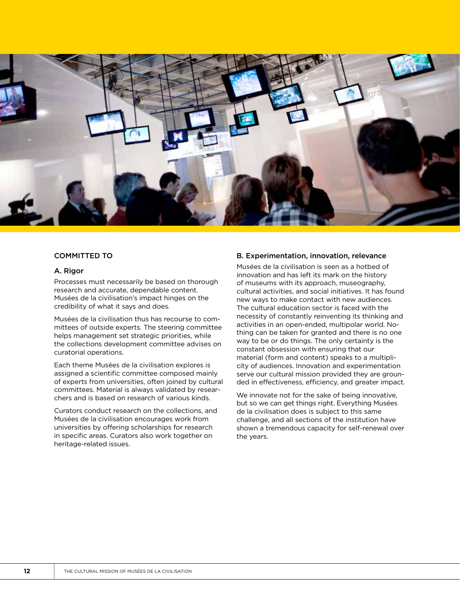

#### COMMITTED TO

#### A. Rigor

Processes must necessarily be based on thorough research and accurate, dependable content. Musées de la civilisation's impact hinges on the credibility of what it says and does.

Musées de la civilisation thus has recourse to committees of outside experts. The steering committee helps management set strategic priorities, while the collections development committee advises on curatorial operations.

Each theme Musées de la civilisation explores is assigned a scientific committee composed mainly of experts from universities, often joined by cultural committees. Material is always validated by researchers and is based on research of various kinds.

Curators conduct research on the collections, and Musées de la civilisation encourages work from universities by offering scholarships for research in specific areas. Curators also work together on heritage-related issues.

### B. Experimentation, innovation, relevance

Musées de la civilisation is seen as a hotbed of innovation and has left its mark on the history of museums with its approach, museography, cultural activities, and social initiatives. It has found new ways to make contact with new audiences. The cultural education sector is faced with the necessity of constantly reinventing its thinking and activities in an open-ended, multipolar world. Nothing can be taken for granted and there is no one way to be or do things. The only certainty is the constant obsession with ensuring that our material (form and content) speaks to a multiplicity of audiences. Innovation and experimentation serve our cultural mission provided they are grounded in effectiveness, efficiency, and greater impact.

We innovate not for the sake of being innovative. but so we can get things right. Everything Musées de la civilisation does is subject to this same challenge, and all sections of the institution have shown a tremendous capacity for self-renewal over the years.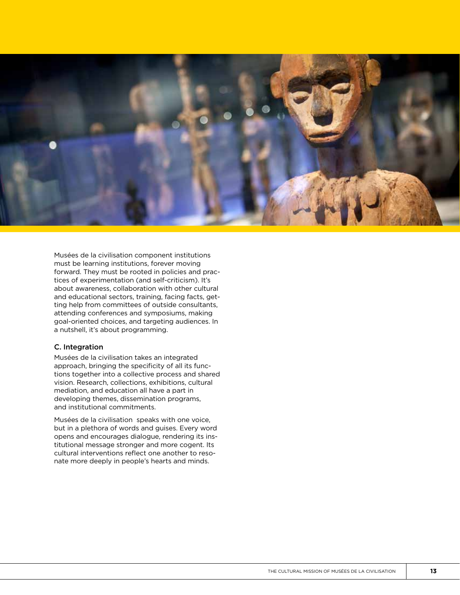

Musées de la civilisation component institutions must be learning institutions, forever moving forward. They must be rooted in policies and prac tices of experimentation (and self-criticism). It's about awareness, collaboration with other cultural and educational sectors, training, facing facts, get ting help from committees of outside consultants, attending conferences and symposiums, making goal-oriented choices, and targeting audiences. In a nutshell, it's about programming.

#### C. Integration

Musées de la civilisation takes an integrated approach, bringing the specificity of all its func tions together into a collective process and shared vision. Research, collections, exhibitions, cultural mediation, and education all have a part in developing themes, dissemination programs, and institutional commitments.

Musées de la civilisation speaks with one voice, but in a plethora of words and guises. Every word opens and encourages dialogue, rendering its ins titutional message stronger and more cogent. Its cultural interventions reflect one another to reso nate more deeply in people's hearts and minds.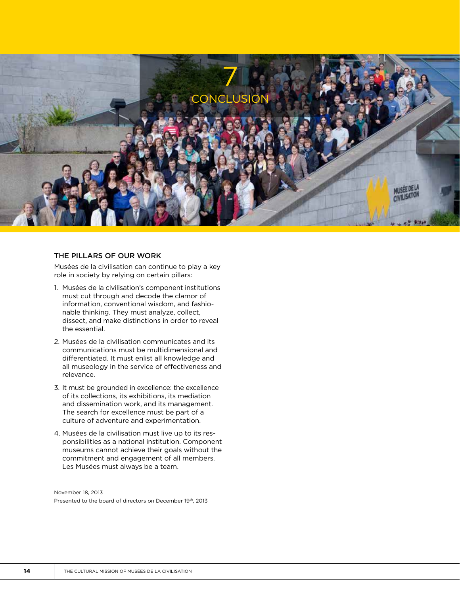

#### THE PILLARS OF OUR WORK

Musées de la civilisation can continue to play a key role in society by relying on certain pillars:

- 1. Musées de la civilisation's component institutions must cut through and decode the clamor of information, conventional wisdom, and fashionable thinking. They must analyze, collect, dissect, and make distinctions in order to reveal the essential.
- 2. Musées de la civilisation communicates and its communications must be multidimensional and differentiated. It must enlist all knowledge and all museology in the service of effectiveness and relevance.
- 3. It must be grounded in excellence: the excellence of its collections, its exhibitions, its mediation and dissemination work, and its management. The search for excellence must be part of a culture of adventure and experimentation.
- 4. Musées de la civilisation must live up to its responsibilities as a national institution. Component museums cannot achieve their goals without the commitment and engagement of all members. Les Musées must always be a team.

November 18, 2013 Presented to the board of directors on December 19th, 2013